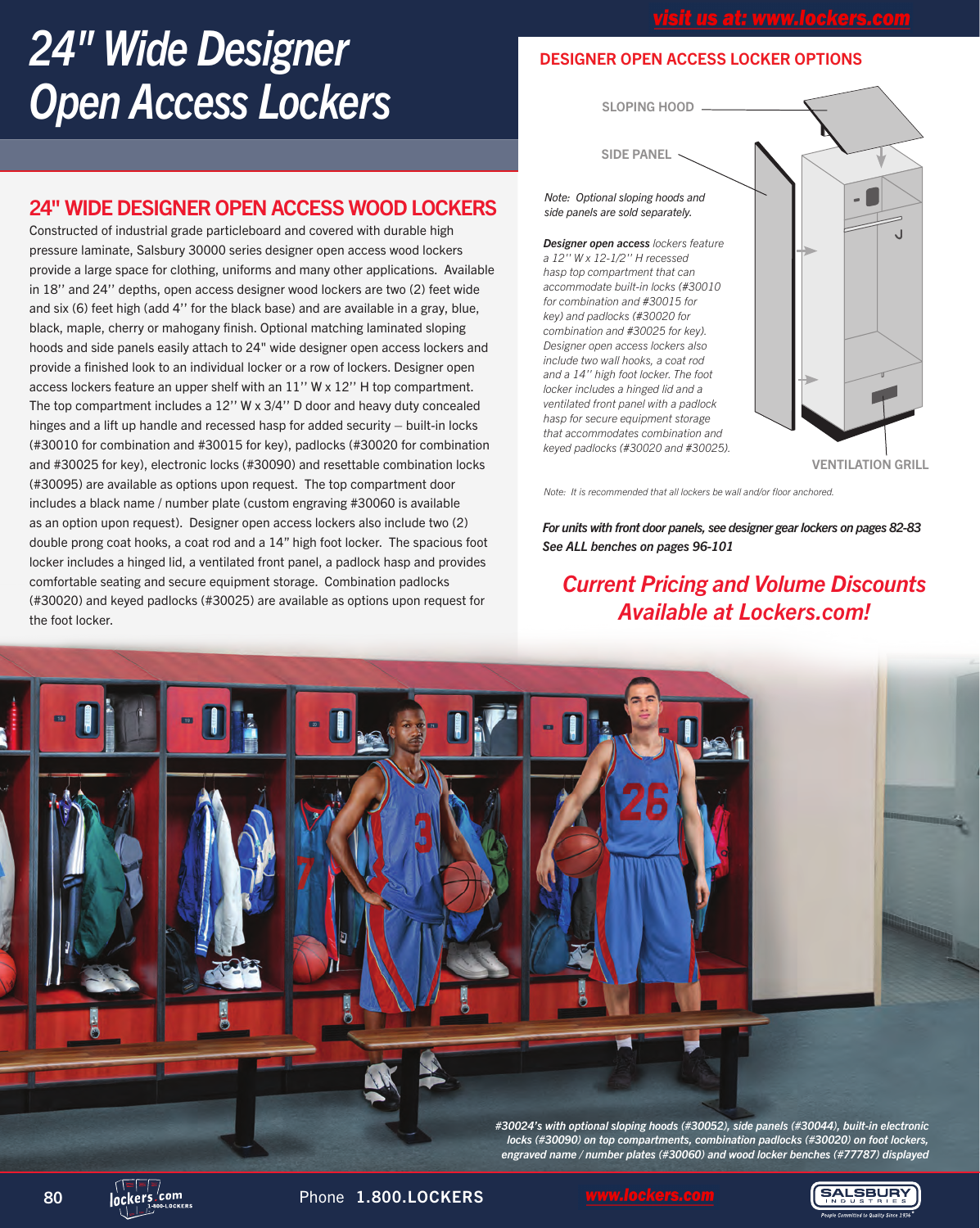# *24" Wide Designer Open Access Lockers*

## 24" WIDE DESIGNER OPEN ACCESS WOOD LOCKERS

Constructed of industrial grade particleboard and covered with durable high pressure laminate, Salsbury 30000 series designer open access wood lockers provide a large space for clothing, uniforms and many other applications. Available in 18'' and 24'' depths, open access designer wood lockers are two (2) feet wide and six (6) feet high (add 4'' for the black base) and are available in a gray, blue, black, maple, cherry or mahogany finish. Optional matching laminated sloping hoods and side panels easily attach to 24" wide designer open access lockers and provide a finished look to an individual locker or a row of lockers. Designer open access lockers feature an upper shelf with an 11'' W x 12'' H top compartment. The top compartment includes a 12'' W x 3/4'' D door and heavy duty concealed hinges and a lift up handle and recessed hasp for added security – built-in locks (#30010 for combination and #30015 for key), padlocks (#30020 for combination and #30025 for key), electronic locks (#30090) and resettable combination locks (#30095) are available as options upon request. The top compartment door includes a black name / number plate (custom engraving #30060 is available as an option upon request). Designer open access lockers also include two (2) double prong coat hooks, a coat rod and a 14" high foot locker. The spacious foot locker includes a hinged lid, a ventilated front panel, a padlock hasp and provides comfortable seating and secure equipment storage. Combination padlocks (#30020) and keyed padlocks (#30025) are available as options upon request for the foot locker.

## DESIGNER OPEN ACCESS LOCKER OPTIONS

SLOPING HOOD

SIDE PANEL

*Note: Optional sloping hoods and side panels are sold separately.*

*Designer open access lockers feature a 12'' W x 12-1/2'' H recessed hasp top compartment that can accommodate built-in locks (#30010 for combination and #30015 for key) and padlocks (#30020 for combination and #30025 for key). Designer open access lockers also include two wall hooks, a coat rod and a 14'' high foot locker. The foot locker includes a hinged lid and a ventilated front panel with a padlock hasp for secure equipment storage that accommodates combination and keyed padlocks (#30020 and #30025).*



*Note: It is recommended that all lockers be wall and/or floor anchored.*

*For units with front door panels, see designer gear lockers on pages 82-83 See ALL benches on pages 96-101*

*Current Pricing and Volume Discounts Available at Lockers.com!*